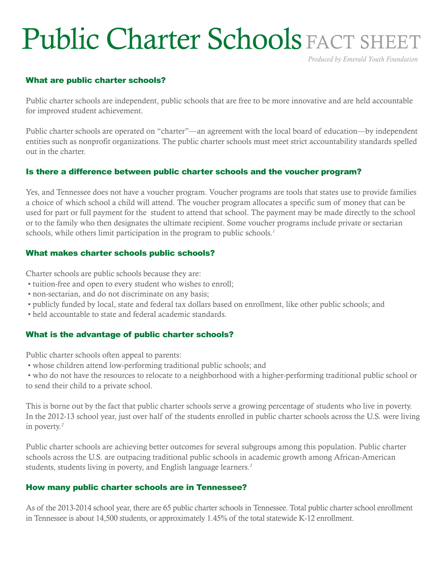# Public Charter Schools FACT SHEET

*Produced by Emerald Youth Foundation*

# What are public charter schools?

Public charter schools are independent, public schools that are free to be more innovative and are held accountable for improved student achievement.

Public charter schools are operated on "charter"—an agreement with the local board of education—by independent entities such as nonprofit organizations. The public charter schools must meet strict accountability standards spelled out in the charter.

### Is there a difference between public charter schools and the voucher program?

Yes, and Tennessee does not have a voucher program. Voucher programs are tools that states use to provide families a choice of which school a child will attend. The voucher program allocates a specific sum of money that can be used for part or full payment for the student to attend that school. The payment may be made directly to the school or to the family who then designates the ultimate recipient. Some voucher programs include private or sectarian schools, while others limit participation in the program to public schools.*<sup>1</sup>*

### What makes charter schools public schools?

Charter schools are public schools because they are:

- tuition-free and open to every student who wishes to enroll;
- non-sectarian, and do not discriminate on any basis;
- publicly funded by local, state and federal tax dollars based on enrollment, like other public schools; and
- held accountable to state and federal academic standards.

# What is the advantage of public charter schools?

Public charter schools often appeal to parents:

• whose children attend low-performing traditional public schools; and

 • who do not have the resources to relocate to a neighborhood with a higher-performing traditional public school or to send their child to a private school.

This is borne out by the fact that public charter schools serve a growing percentage of students who live in poverty. In the 2012-13 school year, just over half of the students enrolled in public charter schools across the U.S. were living in poverty.*<sup>2</sup>*

Public charter schools are achieving better outcomes for several subgroups among this population. Public charter schools across the U.S. are outpacing traditional public schools in academic growth among African-American students, students living in poverty, and English language learners.*<sup>3</sup>*

# How many public charter schools are in Tennessee?

As of the 2013-2014 school year, there are 65 public charter schools in Tennessee. Total public charter school enrollment in Tennessee is about 14,500 students, or approximately 1.45% of the total statewide K-12 enrollment.